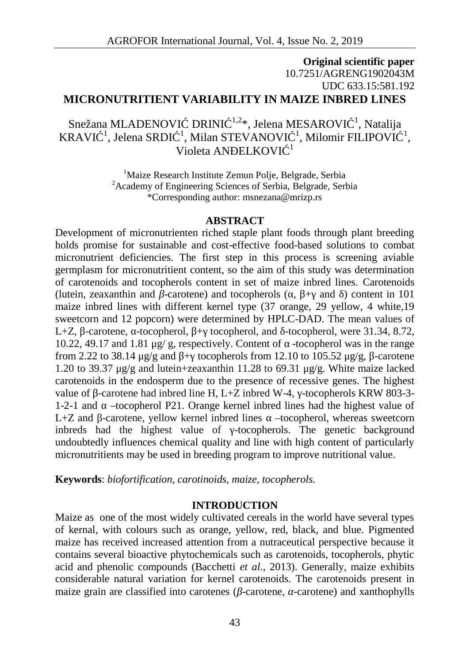# **Original scientific paper** 10.7251/AGRENG1902043M UDC 633.15:581.192 **MICRONUTRITIENT VARIABILITY IN MAIZE INBRED LINES**

Snežana MLADENOVI DRINI<sup>1,2</sup>\*, Jelena MESAROVI<sup>1</sup>, Natalija KRAVI<sup>-1</sup>, Jelena SRDI<sup>-1</sup>, Milan STEVANOVI<sup>-1</sup>, Milomir FILIPOVI<sup>-1</sup>, Violeta AN $E$ ELKOVI<sup>1</sup>

> <sup>1</sup>Maize Research Institute Zemun Polje, Belgrade, Serbia <sup>2</sup>Academy of Engineering Sciences of Serbia, Belgrade, Serbia \*Corresponding author: msnezana@mrizp.rs

#### **ABSTRACT**

Development of micronutrienten riched staple plant foods through plant breeding holds promise for sustainable and cost-effective food-based solutions to combat micronutrient deficiencies. The first step in this process is screening aviable germplasm for micronutritient content, so the aim of this study was determination of carotenoids and tocopherols content in set of maize inbred lines. Carotenoids (lutein, zeaxanthin and -carotene) and tocopherols  $($ ,  $+$  and  $)$  content in 101 maize inbred lines with different kernel type (37 orange, 29 yellow, 4 white,19 sweetcorn and 12 popcorn) were determined by HPLC-DAD. The mean values of L+Z, -carotene, -tocopherol, + tocopherol, and -tocopherol, were 31.34, 8.72, 10.22, 49.17 and 1.81 μg/ g, respectively. Content of  $\sim$ -tocopherol was in the range from 2.22 to 38.14 μg/g and  $+$  tocopherols from 12.10 to 105.52 μg/g, -carotene 1.20 to 39.37  $\mu$ g/g and lutein+zeaxanthin 11.28 to 69.31  $\mu$ g/g. White maize lacked carotenoids in the endosperm due to the presence of recessive genes. The highest value of -carotene had inbred line H, L+Z inbred W-4, -tocopherols KRW 803-3-1-2-1 and –tocopherol P21. Orange kernel inbred lines had the highest value of L+Z and -carotene, yellow kernel inbred lines –tocopherol, whereas sweetcorn inbreds had the highest value of -tocopherols. The genetic background undoubtedly influences chemical quality and line with high content of particularly micronutritients may be used in breeding program to improve nutritional value.

**Keywords**: *biofortification, carotinoids, maize, tocopherols.*

### **INTRODUCTION**

Maize as one of the most widely cultivated cereals in the world have several types of kernal, with colours such as orange, yellow, red, black, and blue. Pigmented maize has received increased attention from a nutraceutical perspective because it contains several bioactive phytochemicals such as carotenoids, tocopherols, phytic acid and phenolic compounds (Bacchetti *et al.*, 2013). Generally, maize exhibits considerable natural variation for kernel carotenoids. The carotenoids present in maize grain are classified into carotenes ( -carotene, -carotene) and xanthophylls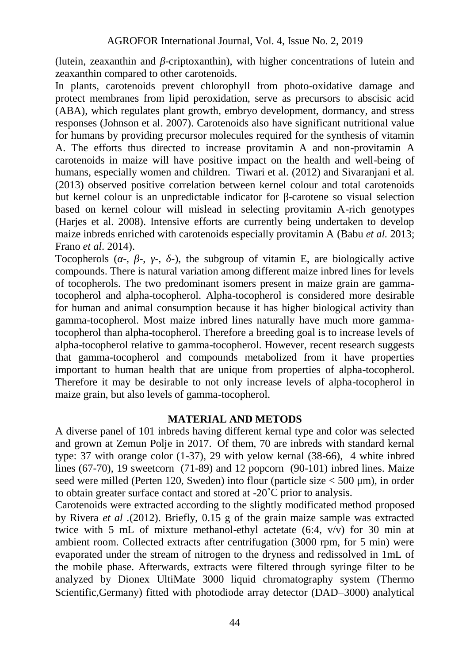(lutein, zeaxanthin and -criptoxanthin), with higher concentrations of lutein and zeaxanthin compared to other carotenoids.

In plants, carotenoids prevent chlorophyll from photo-oxidative damage and protect membranes from lipid peroxidation, serve as precursors to abscisic acid (ABA), which regulates plant growth, embryo development, dormancy, and stress responses (Johnson et al. 2007). Carotenoids also have significant nutritional value for humans by providing precursor molecules required for the synthesis of vitamin A. The efforts thus directed to increase provitamin A and non-provitamin A carotenoids in maize will have positive impact on the health and well-being of humans, especially women and children. Tiwari et al*.* (2012) and Sivaranjani et al*.* (2013) observed positive correlation between kernel colour and total carotenoids but kernel colour is an unpredictable indicator for -carotene so visual selection based on kernel colour will mislead in selecting provitamin A-rich genotypes (Harjes et al. 2008). Intensive efforts are currently being undertaken to develop maize inbreds enriched with carotenoids especially provitamin A (Babu *et al.* 2013; Frano *et al*. 2014).

Tocopherols  $(-, -, -, -)$ , the subgroup of vitamin E, are biologically active compounds. There is natural variation among different maize inbred lines for levels of tocopherols. The two predominant isomers present in maize grain are gammatocopherol and alpha-tocopherol. Alpha-tocopherol is considered more desirable for human and animal consumption because it has higher biological activity than gamma-tocopherol. Most maize inbred lines naturally have much more gammatocopherol than alpha-tocopherol. Therefore a breeding goal is to increase levels of alpha-tocopherol relative to gamma-tocopherol. However, recent research suggests that gamma-tocopherol and compounds metabolized from it have properties important to human health that are unique from properties of alpha-tocopherol. Therefore it may be desirable to not only increase levels of alpha-tocopherol in maize grain, but also levels of gamma-tocopherol.

## **MATERIAL AND METODS**

A diverse panel of 101 inbreds having different kernal type and color was selected and grown at Zemun Polje in 2017. Of them, 70 are inbreds with standard kernal type: 37 with orange color (1-37), 29 with yelow kernal (38-66), 4 white inbred lines (67-70), 19 sweetcorn (71-89) and 12 popcorn (90-101) inbred lines. Maize seed were milled (Perten 120, Sweden) into flour (particle size < 500 μm), in order to obtain greater surface contact and stored at -20˚C prior to analysis.

Carotenoids were extracted according to the slightly modificated method proposed by Rivera *et al .*(2012). Briefly, 0.15 g of the grain maize sample was extracted twice with 5 mL of mixture methanol-ethyl actetate  $(6:4, v/v)$  for 30 min at ambient room. Collected extracts after centrifugation (3000 rpm, for 5 min) were evaporated under the stream of nitrogen to the dryness and redissolved in 1mL of the mobile phase. Afterwards, extracts were filtered through syringe filter to be analyzed by Dionex UltiMate 3000 liquid chromatography system (Thermo Scientific,Germany) fitted with photodiode array detector (DAD-3000) analytical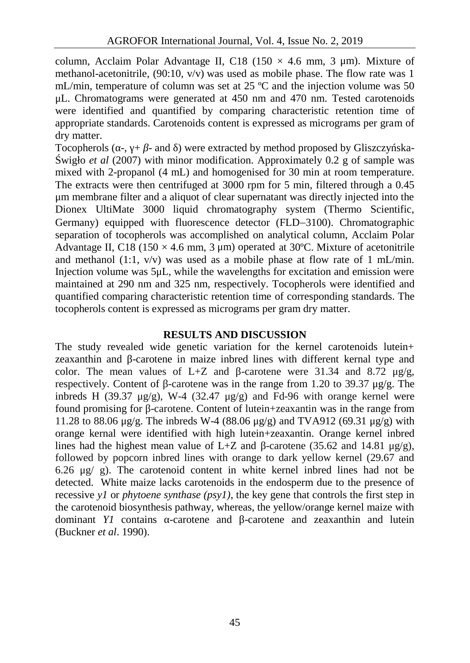column, Acclaim Polar Advantage II, C18 (150  $\times$  4.6 mm, 3 µm). Mixture of methanol-acetonitrile,  $(90:10, v/v)$  was used as mobile phase. The flow rate was 1 mL/min, temperature of column was set at 25 ºC and the injection volume was 50 μL. Chromatograms were generated at 450 nm and 470 nm. Tested carotenoids were identified and quantified by comparing characteristic retention time of appropriate standards. Carotenoids content is expressed as micrograms per gram of dry matter.

Tocopherols  $(-, + -$  and  $)$  were extracted by method proposed by Gliszczy skawigło *et al* (2007) with minor modification. Approximately 0.2 g of sample was mixed with 2-propanol (4 mL) and homogenised for 30 min at room temperature. The extracts were then centrifuged at 3000 rpm for 5 min, filtered through a 0.45 μm membrane filter and a aliquot of clear supernatant was directly injected into the Dionex UltiMate 3000 liquid chromatography system (Thermo Scientific, Germany) equipped with fluorescence detector (FLD-3100). Chromatographic separation of tocopherols was accomplished on analytical column, Acclaim Polar Advantage II, C18 (150  $\times$  4.6 mm, 3 µm) operated at 30°C. Mixture of acetonitrile and methanol (1:1,  $v/v$ ) was used as a mobile phase at flow rate of 1 mL/min. Injection volume was 5μL, while the wavelengths for excitation and emission were maintained at 290 nm and 325 nm, respectively. Tocopherols were identified and quantified comparing characteristic retention time of corresponding standards. The tocopherols content is expressed as micrograms per gram dry matter.

### **RESULTS AND DISCUSSION**

The study revealed wide genetic variation for the kernel carotenoids lutein+ zeaxanthin and -carotene in maize inbred lines with different kernal type and color. The mean values of L+Z and -carotene were 31.34 and 8.72 μg/g, respectively. Content of -carotene was in the range from 1.20 to 39.37 μg/g. The inbreds H (39.37  $\mu$ g/g), W-4 (32.47  $\mu$ g/g) and Fd-96 with orange kernel were found promising for -carotene. Content of lutein+zeaxantin was in the range from 11.28 to 88.06 μg/g. The inbreds W-4 (88.06 μg/g) and TVA912 (69.31 μg/g) with orange kernal were identified with high lutein+zeaxantin. Orange kernel inbred lines had the highest mean value of L+Z and -carotene (35.62 and 14.81  $\mu$ g/g), followed by popcorn inbred lines with orange to dark yellow kernel (29.67 and 6.26 μg/ g). The carotenoid content in white kernel inbred lines had not be detected. White maize lacks carotenoids in the endosperm due to the presence of recessive *y1* or *phytoene synthase (psy1)*, the key gene that controls the first step in the carotenoid biosynthesis pathway, whereas, the yellow/orange kernel maize with dominant *Y1* contains -carotene and -carotene and zeaxanthin and lutein (Buckner *et al*. 1990).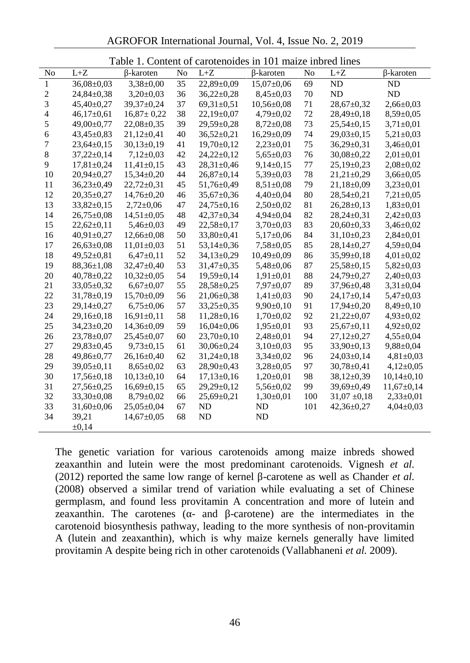AGROFOR International Journal, Vol. 4, Issue No. 2, 2019

|                | Table 1. Content of carotenoides in 101 maize inbred lines |                  |    |                  |                  |     |                  |                 |  |  |
|----------------|------------------------------------------------------------|------------------|----|------------------|------------------|-----|------------------|-----------------|--|--|
| No             | $L+Z$                                                      | -karoten         | No | $L + Z$          | -karoten         | No  | $L+Z$            | -karoten        |  |  |
| $\mathbf{1}$   | $36,08 \pm 0,03$                                           | $3,38 \pm 0,00$  | 35 | 22,89±0,09       | $15,07 \pm 0,06$ | 69  | ND               | ND              |  |  |
| $\sqrt{2}$     | 24,84±0,38                                                 | $3,20\pm0,03$    | 36 | $36,22 \pm 0,28$ | $8,45\pm0,03$    | 70  | <b>ND</b>        | ND              |  |  |
| 3              | $45,40\pm0.27$                                             | 39,37±0,24       | 37 | $69,31\pm0,51$   | $10,56 \pm 0,08$ | 71  | $28,67 \pm 0,32$ | $2,66 \pm 0.03$ |  |  |
| $\overline{4}$ | $46,17\pm0,61$                                             | $16,87 \pm 0,22$ | 38 | $22,19\pm0,07$   | 4,79±0,02        | 72  | $28,49\pm0,18$   | $8,59 \pm 0.05$ |  |  |
| 5              | 49,00±0,77                                                 | $22,08 \pm 0,35$ | 39 | $29,59 \pm 0,28$ | $8,72\pm0,08$    | 73  | $25,54\pm0,15$   | $3,71\pm0,01$   |  |  |
| $\sqrt{6}$     | $43,45\pm0.83$                                             | $21,12\pm0,41$   | 40 | $36,52 \pm 0,21$ | $16,29 \pm 0,09$ | 74  | $29,03 \pm 0,15$ | $5,21\pm0,03$   |  |  |
| 7              | $23,64 \pm 0,15$                                           | $30,13\pm0,19$   | 41 | $19,70\pm0,12$   | $2,23\pm0,01$    | 75  | $36,29 \pm 0,31$ | $3,46 \pm 0,01$ |  |  |
| $\,8\,$        | $37,22 \pm 0,14$                                           | $7,12\pm0,03$    | 42 | $24,22 \pm 0,12$ | $5,65 \pm 0,03$  | 76  | $30,08 \pm 0,22$ | $2,01\pm0,01$   |  |  |
| 9              | $17,81 \pm 0.24$                                           | $11,41\pm0,15$   | 43 | $28,31 \pm 0,46$ | $9,14\pm0,15$    | 77  | $25,19\pm0.23$   | $2,08 \pm 0,02$ |  |  |
| 10             | $20.94 \pm 0.27$                                           | $15,34 \pm 0,20$ | 44 | $26,87+0,14$     | $5,39\pm0,03$    | 78  | $21,21\pm0,29$   | $3,66 \pm 0,05$ |  |  |
| 11             | $36,23 \pm 0,49$                                           | $22,72\pm0,31$   | 45 | $51,76 \pm 0,49$ | $8,51 \pm 0.08$  | 79  | $21,18 \pm 0,09$ | $3,23\pm0,01$   |  |  |
| 12             | $20,35 \pm 0,27$                                           | $14,76 \pm 0,20$ | 46 | 35,67±0,36       | $4,40\pm0,04$    | 80  | $28,54 \pm 0,21$ | $7,21 \pm 0,05$ |  |  |
| 13             | $33,82 \pm 0.15$                                           | $2,72\pm0.06$    | 47 | $24,75 \pm 0,16$ | $2,50\pm0.02$    | 81  | $26,28 \pm 0,13$ | $1,83\pm0,01$   |  |  |
| 14             | $26,75\pm0,08$                                             | $14,51\pm0,05$   | 48 | $42,37 \pm 0,34$ | $4,94\pm0,04$    | 82  | $28,24\pm0,31$   | $2,42\pm0,03$   |  |  |
| 15             | $22,62 \pm 0,11$                                           | $5,46 \pm 0,03$  | 49 | $22,58 \pm 0,17$ | $3,70\pm0,03$    | 83  | $20,60 \pm 0,33$ | $3,46 \pm 0,02$ |  |  |
| 16             | $40.91 \pm 0.27$                                           | $12,66 \pm 0.08$ | 50 | 33,80±0,41       | $5,17\pm0,06$    | 84  | $31,10\pm0.23$   | $2,84\pm0.01$   |  |  |
| 17             | $26,63 \pm 0,08$                                           | $11,01\pm0,03$   | 51 | $53,14\pm0,36$   | $7,58 \pm 0,05$  | 85  | $28,14\pm0,27$   | $4,59 \pm 0.04$ |  |  |
| 18             | 49,52±0,81                                                 | $6,47\pm0,11$    | 52 | $34,13\pm0,29$   | $10,49 \pm 0,09$ | 86  | $35,99 \pm 0,18$ | $4,01\pm0,02$   |  |  |
| 19             | $88,36 \pm 1,08$                                           | $32,47+0,40$     | 53 | $31,47+0,35$     | $5,48 \pm 0,06$  | 87  | $25,58 \pm 0,15$ | $5,82 \pm 0.03$ |  |  |
| 20             | $40,78 \pm 0,22$                                           | $10,32 \pm 0,05$ | 54 | $19,59 \pm 0,14$ | $1,91 \pm 0,01$  | 88  | 24,79±0,27       | $2,40\pm0,03$   |  |  |
| 21             | $33,05 \pm 0,32$                                           | $6,67+0,07$      | 55 | $28,58 \pm 0,25$ | $7,97 \pm 0,07$  | 89  | 37,96±0,48       | $3,31 \pm 0,04$ |  |  |
| 22             | $31,78 \pm 0.19$                                           | $15,70\pm0.09$   | 56 | $21,06 \pm 0,38$ | $1,41\pm0.03$    | 90  | $24,17\pm0,14$   | $5,47\pm0,03$   |  |  |
| 23             | $29,14\pm0.27$                                             | $6,75 \pm 0.06$  | 57 | $33,25 \pm 0,35$ | $9,90\pm0,10$    | 91  | $17,94\pm0.20$   | $8,49\pm0,10$   |  |  |
| 24             | $29,16 \pm 0,18$                                           | $16,91\pm0,11$   | 58 | $11,28 \pm 0,16$ | $1,70\pm0,02$    | 92  | $21,22 \pm 0,07$ | $4,93 \pm 0,02$ |  |  |
| 25             | $34,23\pm0,20$                                             | $14,36 \pm 0.09$ | 59 | $16,04\pm0,06$   | $1,95 \pm 0,01$  | 93  | $25,67 \pm 0,11$ | $4,92 \pm 0,02$ |  |  |
| 26             | $23,78 \pm 0.07$                                           | $25,45\pm0.07$   | 60 | $23,70\pm0,10$   | $2,48 \pm 0.01$  | 94  | $27,12\pm0,27$   | $4,55 \pm 0.04$ |  |  |
| 27             | 29,83±0,45                                                 | $9,73\pm0,15$    | 61 | $30,06 \pm 0,24$ | $3,10\pm0,03$    | 95  | $33,90 \pm 0,13$ | $9,88 \pm 0,04$ |  |  |
| 28             | 49,86±0,77                                                 | $26,16\pm0,40$   | 62 | $31,24\pm0,18$   | $3,34\pm0,02$    | 96  | $24,03\pm0,14$   | $4,81\pm0,03$   |  |  |
| 29             | $39,05 \pm 0,11$                                           | $8,65 \pm 0.02$  | 63 | 28,90±0,43       | $3,28 \pm 0.05$  | 97  | $30,78 \pm 0,41$ | $4,12\pm0,05$   |  |  |
| 30             | $17,56 \pm 0,18$                                           | $10,13\pm0,10$   | 64 | $17,13\pm0,16$   | $1,20\pm0,01$    | 98  | 38,12±0,39       | $10,14\pm0,10$  |  |  |
| 31             | $27,56 \pm 0.25$                                           | $16,69 \pm 0,15$ | 65 | 29,29±0,12       | $5,56 \pm 0,02$  | 99  | 39,69±0,49       | $11,67+0,14$    |  |  |
| 32             | $33,30\pm0.08$                                             | $8,79 \pm 0.02$  | 66 | $25,69 \pm 0,21$ | $1,30\pm0,01$    | 100 | $31,07 \pm 0,18$ | $2,33\pm0,01$   |  |  |
| 33             | $31,60 \pm 0,06$                                           | $25,05 \pm 0,04$ | 67 | ND               | ND               | 101 | $42,36 \pm 0,27$ | $4,04\pm0,03$   |  |  |
| 34             | 39,21                                                      | $14,67 \pm 0.05$ | 68 | <b>ND</b>        | ND               |     |                  |                 |  |  |
|                | $\pm 0.14$                                                 |                  |    |                  |                  |     |                  |                 |  |  |

The genetic variation for various carotenoids among maize inbreds showed zeaxanthin and lutein were the most predominant carotenoids. Vignesh *et al.* (2012) reported the same low range of kernel -carotene as well as Chander *et al.* (2008) observed a similar trend of variation while evaluating a set of Chinese germplasm, and found less provitamin A concentration and more of lutein and zeaxanthin. The carotenes ( $\overline{a}$  - and  $\overline{a}$  -carotene) are the intermediates in the carotenoid biosynthesis pathway, leading to the more synthesis of non-provitamin A (lutein and zeaxanthin), which is why maize kernels generally have limited provitamin A despite being rich in other carotenoids (Vallabhaneni *et al.* 2009).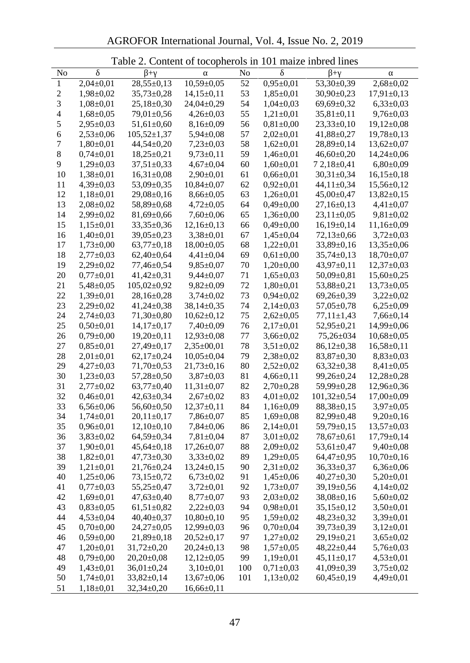AGROFOR International Journal, Vol. 4, Issue No. 2, 2019

|                  |                 | <b>Table 2. Content of tocopherols in TUT maize indred lines</b> |                  |         |                              |                   |                                  |
|------------------|-----------------|------------------------------------------------------------------|------------------|---------|------------------------------|-------------------|----------------------------------|
| No               |                 |                                                                  |                  | No      |                              | $\! + \!\!\!\!$   |                                  |
| $\mathbf{1}$     | $2,04\pm0,01$   | $28,55 \pm 0,13$                                                 | $10,59 \pm 0,05$ | 52      | $0,95 \pm 0,01$              | 53,30±0,39        | $2,68 \pm 0,02$                  |
| $\boldsymbol{2}$ | $1,98 \pm 0,02$ | $35,73 \pm 0,28$                                                 | $14,15\pm0,11$   | 53      | $1,85 \pm 0.01$              | $30,90 \pm 0,23$  | $17,91\pm0,13$                   |
| $\sqrt{3}$       | $1,08 \pm 0,01$ | $25,18 \pm 0,30$                                                 | 24,04±0,29       | 54      | $1,04\pm0,03$                | 69,69±0,32        | $6,33\pm0,03$                    |
| $\overline{4}$   | $1,68 \pm 0,05$ | 79,01±0,56                                                       | $4,26 \pm 0,03$  | 55      | $1,21\pm0,01$                | $35,81 \pm 0,11$  | $9,76 \pm 0,03$                  |
| 5                | $2,95 \pm 0,03$ | $51,61\pm0,60$                                                   | $8,16 \pm 0,09$  | 56      | $0,81\pm0,00$                | $23,33\pm0,10$    | $19,12\pm0,08$                   |
| 6                | $2,53\pm0,06$   | $105,52 \pm 1,37$                                                | $5,94 \pm 0,08$  | 57      | $2,02 \pm 0,01$              | 41,88±0,27        | $19,78 \pm 0,13$                 |
| $\sqrt{ }$       | $1,80\pm0.01$   | $44,54\pm0,20$                                                   | $7,23\pm0,03$    | 58      | $1,62\pm0,01$                | 28,89±0,14        | $13,62 \pm 0,07$                 |
| $\,8\,$          | $0,74\pm0,01$   | $18,25 \pm 0,21$                                                 | $9,73 \pm 0,11$  | 59      | $1,46 \pm 0,01$              | $46,60 \pm 0,20$  | $14,24 \pm 0,06$                 |
| 9                | $1,29\pm0,03$   | $37,51 \pm 0.33$                                                 | $4,67 \pm 0,04$  | 60      | $1,60\pm0,01$                | $72,18 \pm 0,41$  | $6,80\pm0,09$                    |
| 10               | $1,38 \pm 0.01$ | $16,31\pm0,08$                                                   | $2,90\pm0,01$    | 61      | $0,66 \pm 0,01$              | $30,31 \pm 0,34$  | $16,15\pm0,18$                   |
| 11               | $4,39\pm0,03$   | 53,09±0,35                                                       | $10,84\pm0,07$   | 62      | $0,92\pm0,01$                | 44,11±0,34        | $15,56 \pm 0,12$                 |
| 12               | $1,18\pm0.01$   | $29,08 \pm 0,16$                                                 | $8,66 \pm 0,05$  | 63      | $1,26 \pm 0.01$              | $45,00\pm0,47$    | $13,82 \pm 0,15$                 |
| 13               | $2,08 \pm 0,02$ | 58,89±0,68                                                       | $4,72 \pm 0,05$  | 64      | $0,49\pm0,00$                | $27,16 \pm 0,13$  | $4,41\pm0,07$                    |
| 14               | $2,99 \pm 0,02$ | $81,69 \pm 0,66$                                                 | $7,60\pm0,06$    | 65      | $1,36 \pm 0,00$              | $23,11\pm0,05$    | $9,81 \pm 0,02$                  |
| 15               | $1,15\pm0,01$   | $33,35 \pm 0,36$                                                 | $12,16 \pm 0,13$ | 66      | $0,49\pm0,00$                | $16,19 \pm 0,14$  | $11,16 \pm 0.09$                 |
| 16               | $1,40\pm0,01$   | 39,05±0,23                                                       | $3,38 \pm 0,01$  | 67      | $1,45\pm0,04$                | 72,13±0,66        | $3,72 \pm 0,03$                  |
| 17               | $1,73\pm0,00$   | $63,77 \pm 0,18$                                                 | $18,00 \pm 0,05$ | 68      | $1,22\pm0,01$                | 33,89±0,16        | $13,35 \pm 0,06$                 |
| 18               | $2,77\pm0.03$   | $62,40\pm0,64$                                                   | $4,41\pm0,04$    | 69      | $0,61\pm0,00$                | $35,74 \pm 0,13$  | $18,70 \pm 0,07$                 |
| 19               | $2,29\pm0,02$   | 77,46±0,54                                                       | $9,85 \pm 0,07$  | 70      | $1,20\pm0,00$                | 43,97±0,11        | $12,37 \pm 0,03$                 |
| $20\,$           | $0,77\pm0,01$   | $41,42\pm0,31$                                                   | $9,44 \pm 0,07$  | 71      | $1,65 \pm 0,03$              | $50,09 \pm 0,81$  | $15,60+0,25$                     |
| 21               | $5,48 \pm 0,05$ | $105,02 \pm 0,92$                                                | $9,82 \pm 0,09$  | 72      | $1,80\pm0,01$                | 53,88±0,21        | $13,73 \pm 0,05$                 |
| $22\,$           | $1,39 \pm 0.01$ | 28,16±0,28                                                       | $3,74 \pm 0,02$  | 73      | $0,94\pm0,02$                | $69,26 \pm 0,39$  | $3,22 \pm 0,02$                  |
| 23               | $2,29 \pm 0.02$ | $41,24 \pm 0,38$                                                 | 38,14±0,35       | 74      | $2,14\pm0.03$                | $57,05 \pm 0.78$  | $6,25\pm0,09$                    |
| 24               | $2,74\pm0,03$   | 71,30±0,80                                                       | $10,62 \pm 0,12$ | 75      | $2,62 \pm 0,05$              | $77,11 \pm 1,43$  | $7,66 \pm 0,14$                  |
| 25               | $0,50\pm0,01$   | $14,17\pm0,17$                                                   | $7,40\pm0,09$    | 76      | $2,17\pm0,01$                | 52,95±0,21        | 14,99±0,06                       |
| $26\,$           | $0,79 \pm 0,00$ | $19,20\pm0,11$                                                   | $12,93 \pm 0,08$ | $77 \,$ | $3,66 \pm 0,02$              | $75,26 \pm 034$   | $10,68 \pm 0,05$                 |
| $27\,$           | $0,85\pm0,01$   | 27,49±0,17                                                       | $2,35 \pm 00,01$ | 78      | $3,51 \pm 0,02$              | $86,12\pm0,38$    | $16,58 \pm 0,11$                 |
| 28               | $2,01\pm0,01$   | $62,17\pm0,24$                                                   | $10,05 \pm 0,04$ | 79      | $2,38 \pm 0,02$              | 83,87±0,30        | $8,83 \pm 0,03$                  |
| 29               | $4,27 \pm 0,03$ | $71,70\pm0,53$                                                   | $21,73\pm0,16$   | 80      | $2,52 \pm 0.02$              | $63,32\pm0,38$    | $8,41 \pm 0,05$                  |
| $30\,$           | $1,23\pm0,03$   | 57,28±0,50                                                       | $3,87 \pm 0,03$  | 81      | $4,66 \pm 0,11$              | 99,26±0,24        | $12,28 \pm 0,28$                 |
| 31               | $2,77 \pm 0.02$ | $63,77 \pm 0,40$                                                 | $11,31\pm0,07$   | 82      | $2,70\pm0,28$                | 59,99±0,28        | $12,96 \pm 0,36$                 |
| 32               | $0,46 \pm 0,01$ | 42,63±0,34                                                       | $2,67 \pm 0,02$  | 83      | $4,01\pm0,02$                | $101,32 \pm 0,54$ | $17,00\pm0,09$                   |
| 33               | $6,56 \pm 0,06$ | $56,60 \pm 0,50$                                                 | $12,37 \pm 0,11$ | 84      | $1,16 \pm 0,09$              | $88,38 \pm 0,15$  | $3,97 \pm 0,05$                  |
| 34               | $1,74\pm0,01$   | $20,11\pm0,17$                                                   | $7,86 \pm 0.07$  | 85      | $1,69+0,08$                  | 82,99±0,48        | $9,20\pm0,16$                    |
| 35               | $0,96 \pm 0,01$ | $12,10\pm0,10$                                                   | $7,84 \pm 0,06$  | 86      | $2,14\pm0,01$                | 59,79±0,15        | $13,57 \pm 0.03$                 |
| 36               | $3,83 \pm 0,02$ | 64,59±0,34                                                       | $7,81 \pm 0,04$  | 87      | $3,01\pm0,02$                | 78,67±0,61        | $17,79 \pm 0,14$                 |
| 37               | $1,90\pm0,01$   | $45,64 \pm 0,18$                                                 | $17,26 \pm 0.07$ | 88      | $2,09 \pm 0,02$              | 53,61±0,47        | $9,40\pm0,08$                    |
| 38               | $1,82\pm0,01$   | $47,73 \pm 0,30$                                                 | $3,33\pm0,02$    | 89      | $1,29+0,05$                  | 64,47±0,95        | $10,70\pm0,16$                   |
| 39               | $1,21\pm0,01$   | $21,76 \pm 0.24$                                                 | $13,24 \pm 0,15$ | 90      | $2,31 \pm 0,02$              | $36,33 \pm 0,37$  | $6,36 \pm 0,06$                  |
| 40               | $1,25\pm0,06$   | 73,15±0,72                                                       | $6,73\pm0,02$    | 91      | $1,45\pm0,06$                | $40,27 \pm 0,30$  | $5,20\pm0,01$                    |
| 41               | $0,77 \pm 0.03$ | 55,25±0,47                                                       | $3,72 \pm 0,01$  | 92      | $1,73 \pm 0,07$              | 39,19±0,56        | $4,14\pm0,02$                    |
| 42               | $1,69 \pm 0,01$ | $47,63 \pm 0,40$                                                 | $8,77 \pm 0,07$  | 93      | $2,03 \pm 0,02$              | 38,08±0,16        | $5,60\pm0,02$                    |
| 43               | $0.83 \pm 0.05$ | $61,51\pm0,82$                                                   | $2,22\pm0,03$    | 94      | $0,98 \pm 0,01$              | $35,15\pm0,12$    | $3,50\pm0.01$                    |
| 44               | $4,53 \pm 0,04$ | $40,40\pm0,37$                                                   | $10,80+0,10$     | 95      | $1,59+0,02$                  | $48,23 \pm 0,32$  | $3,39\pm0,01$                    |
| 45               | $0,70\pm0,00$   | $24,27 \pm 0,05$                                                 | $12,99 \pm 0,03$ | 96      | $0,70\pm0,04$                | $39,73 \pm 0,39$  | $3,12\pm0,01$                    |
| 46               | $0,59+0,00$     | $21,89 \pm 0,18$                                                 | $20,52\pm0,17$   | 97      | $1,27\pm0,02$                | $29,19\pm0,21$    | $3,65 \pm 0,02$                  |
| 47               | $1,20\pm0,01$   |                                                                  |                  | 98      |                              | $48,22 \pm 0,44$  |                                  |
| 48               | $0,79 \pm 0,00$ | $31,72 \pm 0,20$<br>$20,20\pm0,08$                               | $20,24\pm0,13$   | 99      | $1,57+0,05$<br>$1,19\pm0.01$ | $45,11\pm0,17$    | $5,76 \pm 0,03$<br>$4,53\pm0,01$ |
| 49               |                 |                                                                  | $12,12\pm0,05$   | 100     |                              | $41,09 \pm 0,39$  |                                  |
|                  | $1,43\pm0,01$   | $36,01\pm0,24$                                                   | $3,10\pm0,01$    |         | $0,71\pm0,03$                |                   | $3,75 \pm 0,02$                  |
| 50               | $1,74\pm0,01$   | $33,82 \pm 0,14$                                                 | $13,67 \pm 0,06$ | 101     | $1,13\pm0,02$                | $60,45\pm0,19$    | $4,49\pm0,01$                    |
| 51               | $1,18\pm0,01$   | $32,34 \pm 0,20$                                                 | $16,66 \pm 0,11$ |         |                              |                   |                                  |

Table 2. Content of tocopherols in 101 maize inbred lines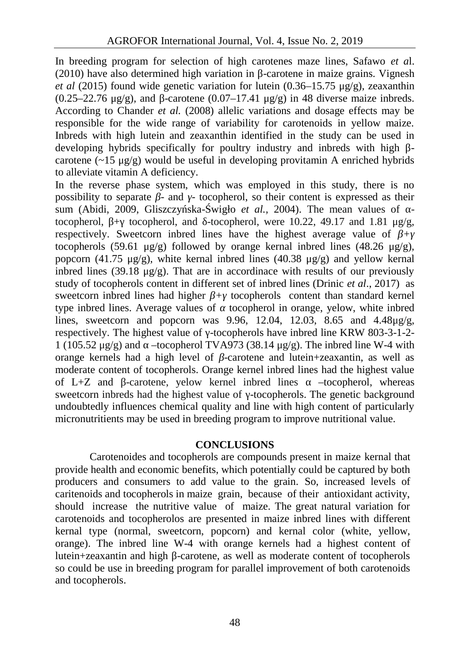In breeding program for selection of high carotenes maze lines, Safawo *et a*l.  $(2010)$  have also determined high variation in -carotene in maize grains. Vignesh *et al* (2015) found wide genetic variation for lutein (0.36–15.75 μg/g), zeaxanthin  $(0.25-22.76 \text{ kg/s})$ , and -carotene  $(0.07-17.41 \text{ kg/s})$  in 48 diverse maize inbreds. According to Chander *et al.* (2008) allelic variations and dosage effects may be responsible for the wide range of variability for carotenoids in yellow maize. Inbreds with high lutein and zeaxanthin identified in the study can be used in developing hybrids specifically for poultry industry and inbreds with high carotene  $(\sim 15 \text{ µg/g})$  would be useful in developing provitamin A enriched hybrids to alleviate vitamin A deficiency.

In the reverse phase system, which was employed in this study, there is no possibility to separate *-* and - tocopherol, so their content is expressed as their sum (Abidi, 2009, Gliszczy ska- wigło *et al.,* 2004). The mean values of tocopherol,  $+$  tocopherol, and -tocopherol, were 10.22, 49.17 and 1.81 μg/g, respectively. Sweetcorn inbred lines have the highest average value of *β+γ* tocopherols (59.61 μg/g) followed by orange kernal inbred lines (48.26 μg/g), popcorn (41.75 μg/g), white kernal indred lines (40.38 μg/g) and yellow kernal inbred lines (39.18  $\mu$ g/g). That are in accordinace with results of our previously study of tocopherols content in different set of inbred lines (Drinic *et al*., 2017) as sweetcorn inbred lines had higher + tocopherols content than standard kernel type inbred lines. Average values of tocopherol in orange, yelow, white inbred lines, sweetcorn and popcorn was  $9.96$ , 12.04, 12.03, 8.65 and 4.48 $\mu$ g/g, respectively. The highest value of -tocopherols have inbred line KRW 803-3-1-2- $1 (105.52 \text{ µg/g})$  and  $-$ tocopherol TVA973 (38.14  $\mu$ g/g). The inbred line W-4 with orange kernels had a high level of -carotene and lutein+zeaxantin, as well as moderate content of tocopherols. Orange kernel inbred lines had the highest value of L+Z and -carotene, yelow kernel inbred lines –tocopherol, whereas sweetcorn inbreds had the highest value of -tocopherols. The genetic background undoubtedly influences chemical quality and line with high content of particularly micronutritients may be used in breeding program to improve nutritional value.

### **CONCLUSIONS**

Carotenoides and tocopherols are compounds present in maize kernal that provide health and economic benefits, which potentially could be captured by both producers and consumers to add value to the grain. So, increased levels of caritenoids and tocopherols in maize grain, because of their antioxidant activity, should increase the nutritive value of maize. The great natural variation for carotenoids and tocopherolos are presented in maize inbred lines with different kernal type (normal, sweetcorn, popcorn) and kernal color (white, yellow, orange). The inbred line W-4 with orange kernels had a highest content of lutein+zeaxantin and high -carotene, as well as moderate content of tocopherols so could be use in breeding program for parallel improvement of both carotenoids and tocopherols.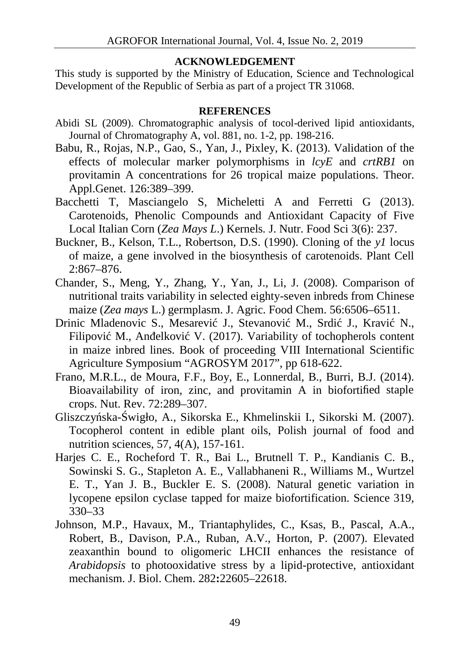## **ACKNOWLEDGEMENT**

This study is supported by the Ministry of Education, Science and Technological Development of the Republic of Serbia as part of a project TR 31068.

### **REFERENCES**

- Abidi SL (2009). Chromatographic analysis of tocol-derived lipid antioxidants, Journal of Chromatography A, vol. 881, no. 1-2, pp. 198-216.
- Babu, R., Rojas, N.P., Gao, S., Yan, J., Pixley, K. (2013). Validation of the effects of molecular marker polymorphisms in *lcyE* and *crtRB1* on provitamin A concentrations for 26 tropical maize populations. Theor. Appl.Genet. 126:389–399.
- Bacchetti T, Masciangelo S, Micheletti A and Ferretti G (2013). Carotenoids, Phenolic Compounds and Antioxidant Capacity of Five Local Italian Corn (*Zea Mays L*.) Kernels*.* J. Nutr. Food Sci 3(6): 237.
- Buckner, B., Kelson, T.L., Robertson, D.S. (1990). Cloning of the *y1* locus of maize, a gene involved in the biosynthesis of carotenoids. Plant Cell 2:867–876.
- Chander, S., Meng, Y., Zhang, Y., Yan, J., Li, J. (2008). Comparison of nutritional traits variability in selected eighty-seven inbreds from Chinese maize (*Zea mays* L.) germplasm. J. Agric. Food Chem. 56:6506–6511.
- Drinic Mladenovic S., Mesarevi J., Stevanovi M., Srdi J., Kravi N., Filipovi M., An elkovi V. (2017). Variability of tochopherols content in maize inbred lines. Book of proceeding VIII International Scientific Agriculture Symposium "AGROSYM 2017", pp 618-622.
- Frano, M.R.L., de Moura, F.F., Boy, E., Lonnerdal, B., Burri, B.J. (2014). Bioavailability of iron, zinc, and provitamin A in biofortified staple crops. Nut. Rev. 72:289–307.
- Gliszczy ska- wigło, A., Sikorska E., Khmelinskii I., Sikorski M. (2007). Tocopherol content in edible plant oils, Polish journal of food and nutrition sciences, 57, 4(A), 157-161.
- Harjes C. E., Rocheford T. R., Bai L., Brutnell T. P., Kandianis C. B., Sowinski S. G., Stapleton A. E., Vallabhaneni R., Williams M., Wurtzel E. T., Yan J. B., Buckler E. S. (2008). Natural genetic variation in lycopene epsilon cyclase tapped for maize biofortification. Science 319, 330–33
- Johnson, M.P., Havaux, M., Triantaphylides, C., Ksas, B., Pascal, A.A., Robert, B., Davison, P.A., Ruban, A.V., Horton, P. (2007). Elevated zeaxanthin bound to oligomeric LHCII enhances the resistance of *Arabidopsis* to photooxidative stress by a lipid-protective, antioxidant mechanism. J. Biol. Chem. 282**:**22605–22618.